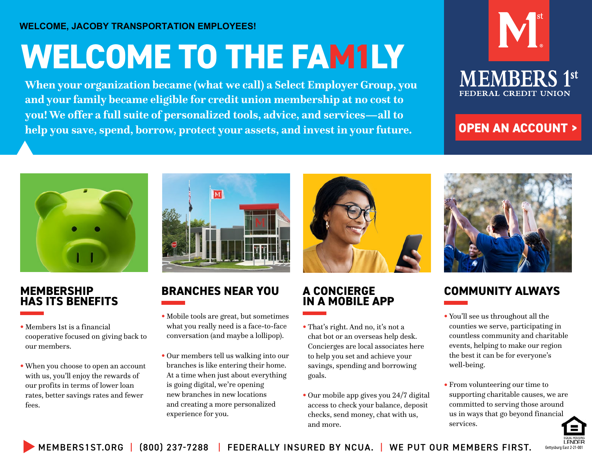### **WELCOME, JACOBY TRANSPORTATION EMPLOYEES!**

# **WELCOME TO THE FAM1LY**

**When your organization became (what we call) a Select Employer Group, you and your family became eligible for credit union membership at no cost to you! We offer a full suite of personalized tools, advice, and services—all to help you save, spend, borrow, protect your assets, and invest in your future.**



### **[OPEN AN ACCOUNT >](https://www.members1st.org/gettysburg-east-branch/?utm_medium=pdf&utm_source=branch&utm_campaign=gettysburg+east+2-21-001&utm_term=open&utm_content=account)**



### **MEMBERSHIP HAS ITS BENEFITS**

- **•** Members 1st is a financial cooperative focused on giving back to our members.
- **•** When you choose to open an account with us, you'll enjoy the rewards of our profits in terms of lower loan rates, better savings rates and fewer fees.



## **BRANCHES NEAR YOU**

- **•** Mobile tools are great, but sometimes what you really need is a face-to-face conversation (and maybe a lollipop).
- **•** Our members tell us walking into our branches is like entering their home. At a time when just about everything is going digital, we're opening new branches in new locations and creating a more personalized experience for you.



### **A CONCIERGE IN A MOBILE APP**

- **•** That's right. And no, it's not a chat bot or an overseas help desk. Concierges are local associates here to help you set and achieve your savings, spending and borrowing goals.
- **•** Our mobile app gives you 24/7 digital access to check your balance, deposit checks, send money, chat with us, and more.



## **COMMUNITY ALWAYS**

- **•** You'll see us throughout all the counties we serve, participating in countless community and charitable events, helping to make our region the best it can be for everyone's well-being.
- **•** From volunteering our time to supporting charitable causes, we are committed to serving those around us in ways that go beyond financial services.